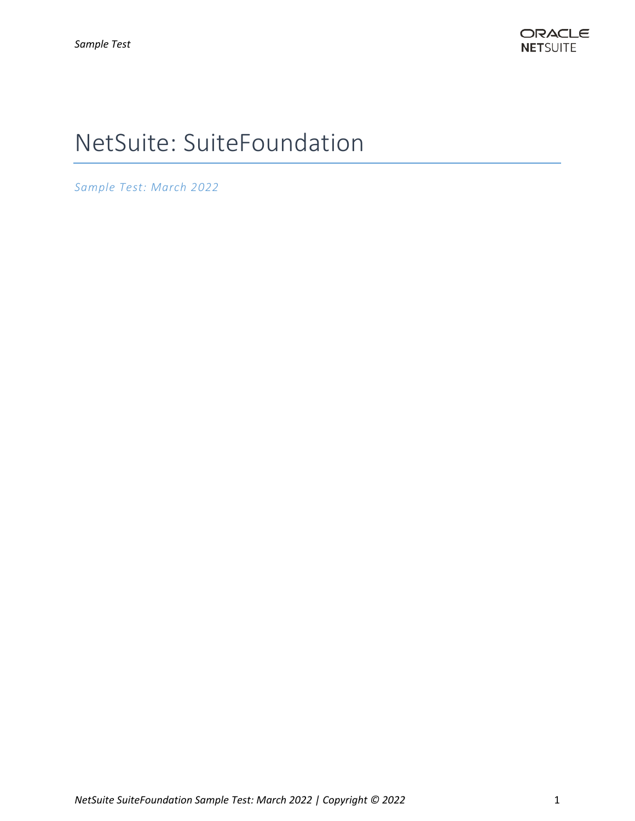# NetSuite: SuiteFoundation

*Sample Test: March 2022*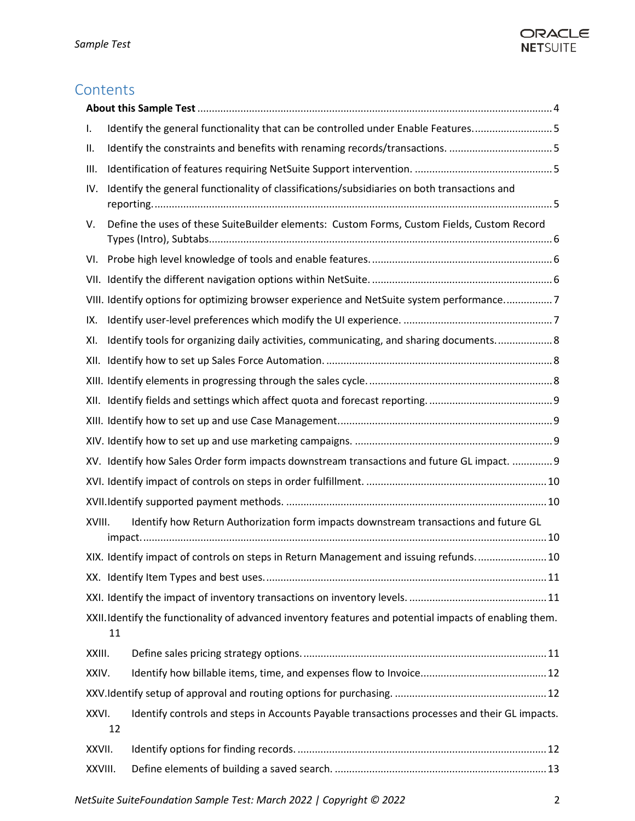## ORACLE **NETSUITE**

# **Contents**

| Identify the general functionality that can be controlled under Enable Features5                              |
|---------------------------------------------------------------------------------------------------------------|
|                                                                                                               |
|                                                                                                               |
| Identify the general functionality of classifications/subsidiaries on both transactions and                   |
| Define the uses of these SuiteBuilder elements: Custom Forms, Custom Fields, Custom Record                    |
|                                                                                                               |
|                                                                                                               |
| VIII. Identify options for optimizing browser experience and NetSuite system performance7                     |
|                                                                                                               |
| Identify tools for organizing daily activities, communicating, and sharing documents 8                        |
|                                                                                                               |
|                                                                                                               |
|                                                                                                               |
|                                                                                                               |
|                                                                                                               |
| XV. Identify how Sales Order form impacts downstream transactions and future GL impact.  9                    |
|                                                                                                               |
|                                                                                                               |
| Identify how Return Authorization form impacts downstream transactions and future GL<br>XVIII.                |
| XIX. Identify impact of controls on steps in Return Management and issuing refunds 10                         |
|                                                                                                               |
|                                                                                                               |
| XXII. Identify the functionality of advanced inventory features and potential impacts of enabling them.<br>11 |
| XXIII.                                                                                                        |
| XXIV.                                                                                                         |
|                                                                                                               |
| XXVI.<br>Identify controls and steps in Accounts Payable transactions processes and their GL impacts.<br>12   |
| XXVII.                                                                                                        |
| XXVIII.                                                                                                       |
|                                                                                                               |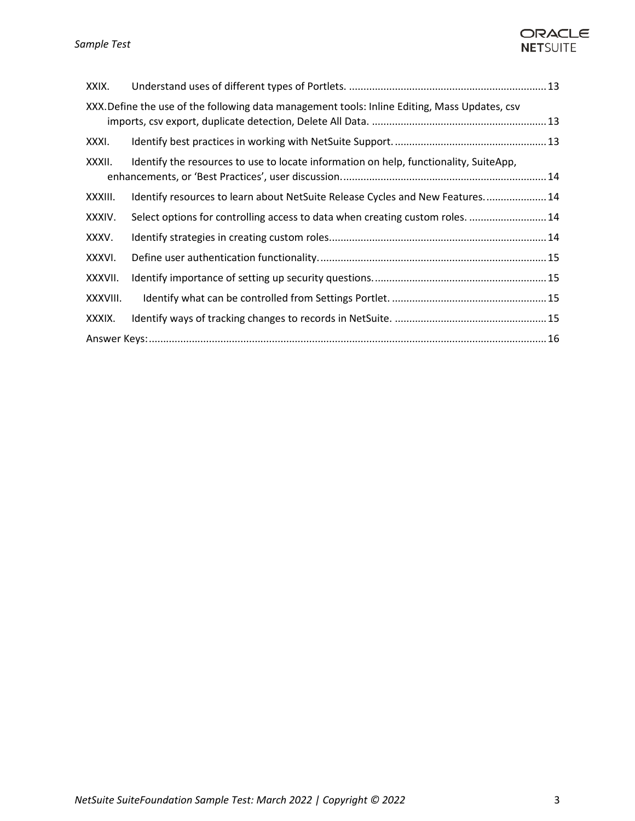## ORACLE **NETSUITE**

| XXIX.    |                                                                                               |  |  |
|----------|-----------------------------------------------------------------------------------------------|--|--|
|          | XXX. Define the use of the following data management tools: Inline Editing, Mass Updates, csv |  |  |
| XXXI.    |                                                                                               |  |  |
| XXXII.   | Identify the resources to use to locate information on help, functionality, SuiteApp,         |  |  |
| XXXIII.  | Identify resources to learn about NetSuite Release Cycles and New Features 14                 |  |  |
| XXXIV.   | Select options for controlling access to data when creating custom roles.  14                 |  |  |
| XXXV.    |                                                                                               |  |  |
| XXXVI.   |                                                                                               |  |  |
| XXXVII.  |                                                                                               |  |  |
| XXXVIII. |                                                                                               |  |  |
| XXXIX.   |                                                                                               |  |  |
|          |                                                                                               |  |  |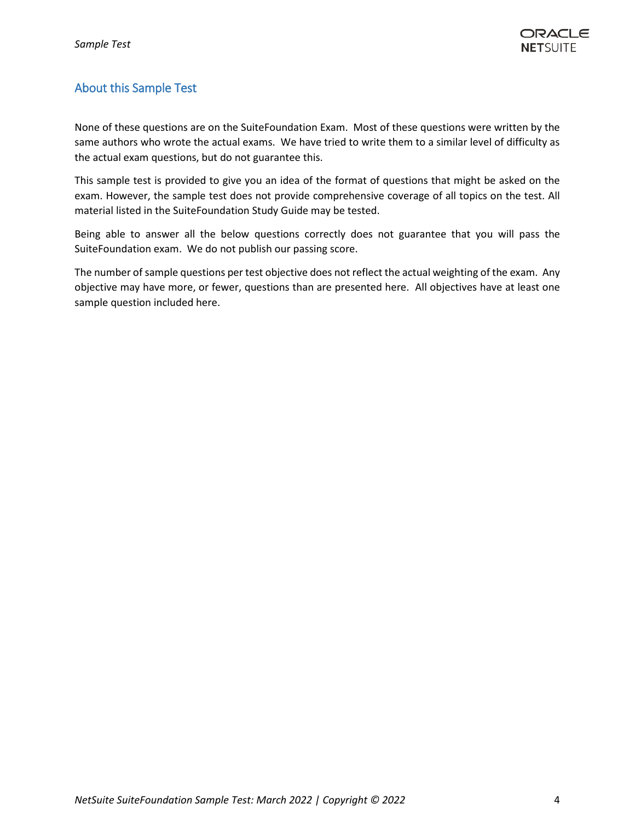### <span id="page-3-0"></span>About this Sample Test

None of these questions are on the SuiteFoundation Exam. Most of these questions were written by the same authors who wrote the actual exams. We have tried to write them to a similar level of difficulty as the actual exam questions, but do not guarantee this.

This sample test is provided to give you an idea of the format of questions that might be asked on the exam. However, the sample test does not provide comprehensive coverage of all topics on the test. All material listed in the SuiteFoundation Study Guide may be tested.

Being able to answer all the below questions correctly does not guarantee that you will pass the SuiteFoundation exam. We do not publish our passing score.

The number of sample questions per test objective does not reflect the actual weighting of the exam. Any objective may have more, or fewer, questions than are presented here. All objectives have at least one sample question included here.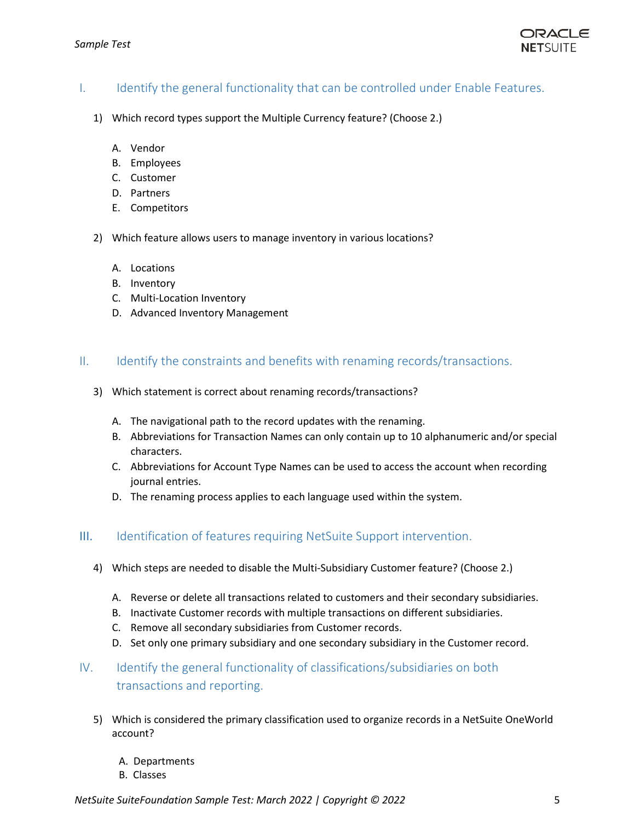#### <span id="page-4-0"></span>I. Identify the general functionality that can be controlled under Enable Features.

- 1) Which record types support the Multiple Currency feature? (Choose 2.)
	- A. Vendor
	- B. Employees
	- C. Customer
	- D. Partners
	- E. Competitors
- 2) Which feature allows users to manage inventory in various locations?
	- A. Locations
	- B. Inventory
	- C. Multi-Location Inventory
	- D. Advanced Inventory Management

#### <span id="page-4-1"></span>II. Identify the constraints and benefits with renaming records/transactions.

- 3) Which statement is correct about renaming records/transactions?
	- A. The navigational path to the record updates with the renaming.
	- B. Abbreviations for Transaction Names can only contain up to 10 alphanumeric and/or special characters.
	- C. Abbreviations for Account Type Names can be used to access the account when recording journal entries.
	- D. The renaming process applies to each language used within the system.

#### <span id="page-4-2"></span>III. Identification of features requiring NetSuite Support intervention.

- 4) Which steps are needed to disable the Multi-Subsidiary Customer feature? (Choose 2.)
	- A. Reverse or delete all transactions related to customers and their secondary subsidiaries.
	- B. Inactivate Customer records with multiple transactions on different subsidiaries.
	- C. Remove all secondary subsidiaries from Customer records.
	- D. Set only one primary subsidiary and one secondary subsidiary in the Customer record.
- <span id="page-4-3"></span>IV. Identify the general functionality of classifications/subsidiaries on both transactions and reporting.
	- 5) Which is considered the primary classification used to organize records in a NetSuite OneWorld account?
		- A. Departments
		- B. Classes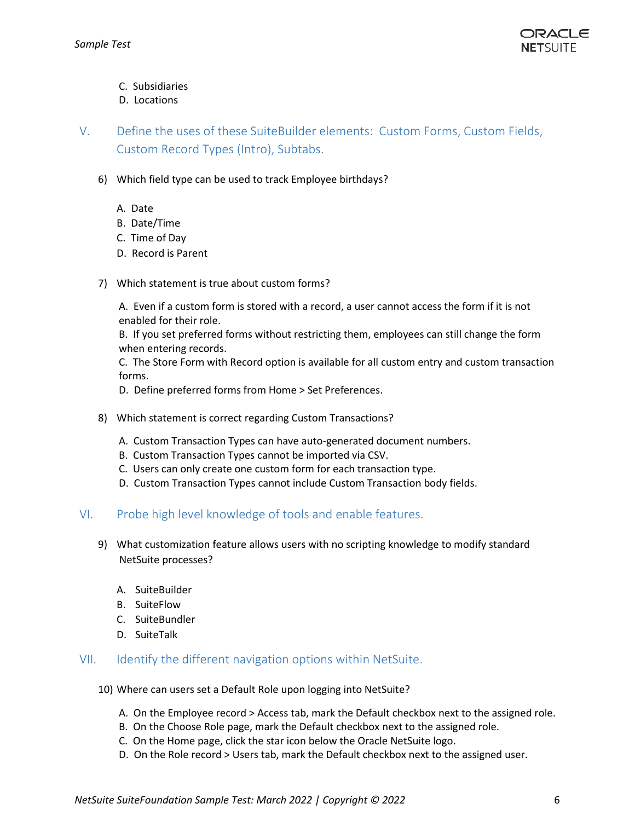

- C. Subsidiaries
- D. Locations

<span id="page-5-0"></span>V. Define the uses of these SuiteBuilder elements: Custom Forms, Custom Fields, Custom Record Types (Intro), Subtabs.

- 6) Which field type can be used to track Employee birthdays?
	- A. Date
	- B. Date/Time
	- C. Time of Day
	- D. Record is Parent
- 7) Which statement is true about custom forms?

A. Even if a custom form is stored with a record, a user cannot access the form if it is not enabled for their role.

B. If you set preferred forms without restricting them, employees can still change the form when entering records.

C. The Store Form with Record option is available for all custom entry and custom transaction forms.

D. Define preferred forms from Home > Set Preferences.

- 8) Which statement is correct regarding Custom Transactions?
	- A. Custom Transaction Types can have auto-generated document numbers.
	- B. Custom Transaction Types cannot be imported via CSV.
	- C. Users can only create one custom form for each transaction type.
	- D. Custom Transaction Types cannot include Custom Transaction body fields.

#### <span id="page-5-1"></span>VI. Probe high level knowledge of tools and enable features.

- 9) What customization feature allows users with no scripting knowledge to modify standard NetSuite processes?
	- A. SuiteBuilder
	- B. SuiteFlow
	- C. SuiteBundler
	- D. SuiteTalk

#### <span id="page-5-2"></span>VII. Identify the different navigation options within NetSuite.

- 10) Where can users set a Default Role upon logging into NetSuite?
	- A. On the Employee record > Access tab, mark the Default checkbox next to the assigned role.
	- B. On the Choose Role page, mark the Default checkbox next to the assigned role.
	- C. On the Home page, click the star icon below the Oracle NetSuite logo.
	- D. On the Role record > Users tab, mark the Default checkbox next to the assigned user.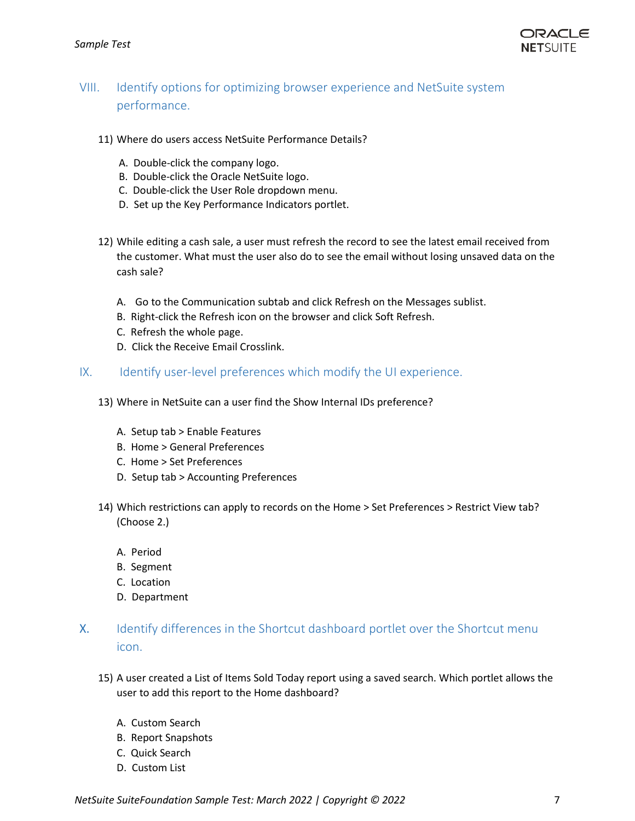

## <span id="page-6-0"></span>VIII. Identify options for optimizing browser experience and NetSuite system performance.

- 11) Where do users access NetSuite Performance Details?
	- A. Double-click the company logo.
	- B. Double-click the Oracle NetSuite logo.
	- C. Double-click the User Role dropdown menu.
	- D. Set up the Key Performance Indicators portlet.
- 12) While editing a cash sale, a user must refresh the record to see the latest email received from the customer. What must the user also do to see the email without losing unsaved data on the cash sale?
	- A. Go to the Communication subtab and click Refresh on the Messages sublist.
	- B. Right-click the Refresh icon on the browser and click Soft Refresh.
	- C. Refresh the whole page.
	- D. Click the Receive Email Crosslink.
- <span id="page-6-1"></span>IX. Identify user-level preferences which modify the UI experience.
	- 13) Where in NetSuite can a user find the Show Internal IDs preference?
		- A. Setup tab > Enable Features
		- B. Home > General Preferences
		- C. Home > Set Preferences
		- D. Setup tab > Accounting Preferences
	- 14) Which restrictions can apply to records on the Home > Set Preferences > Restrict View tab? (Choose 2.)
		- A. Period
		- B. Segment
		- C. Location
		- D. Department
- X. Identify differences in the Shortcut dashboard portlet over the Shortcut menu icon.
	- 15) A user created a List of Items Sold Today report using a saved search. Which portlet allows the user to add this report to the Home dashboard?
		- A. Custom Search
		- B. Report Snapshots
		- C. Quick Search
		- D. Custom List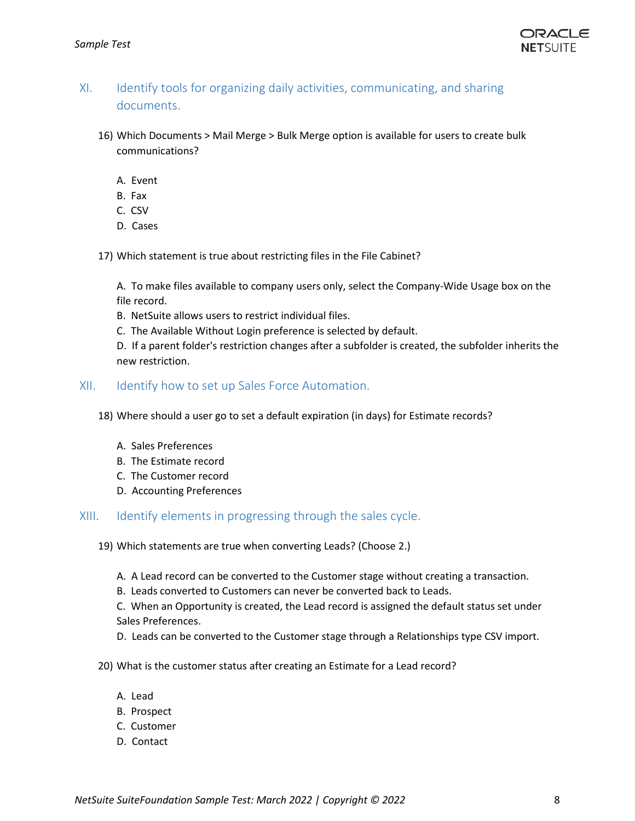

## <span id="page-7-0"></span>XI. Identify tools for organizing daily activities, communicating, and sharing documents.

- 16) Which Documents > Mail Merge > Bulk Merge option is available for users to create bulk communications?
	- A. Event
	- B. Fax
	- C. CSV
	- D. Cases
- 17) Which statement is true about restricting files in the File Cabinet?

A. To make files available to company users only, select the Company-Wide Usage box on the file record.

- B. NetSuite allows users to restrict individual files.
- C. The Available Without Login preference is selected by default.

D. If a parent folder's restriction changes after a subfolder is created, the subfolder inherits the new restriction.

#### <span id="page-7-1"></span>XII. Identify how to set up Sales Force Automation.

- 18) Where should a user go to set a default expiration (in days) for Estimate records?
	- A. Sales Preferences
	- B. The Estimate record
	- C. The Customer record
	- D. Accounting Preferences

<span id="page-7-2"></span>XIII. Identify elements in progressing through the sales cycle.

- 19) Which statements are true when converting Leads? (Choose 2.)
	- A. A Lead record can be converted to the Customer stage without creating a transaction.
	- B. Leads converted to Customers can never be converted back to Leads.

C. When an Opportunity is created, the Lead record is assigned the default status set under Sales Preferences.

- D. Leads can be converted to the Customer stage through a Relationships type CSV import.
- 20) What is the customer status after creating an Estimate for a Lead record?
	- A. Lead
	- B. Prospect
	- C. Customer
	- D. Contact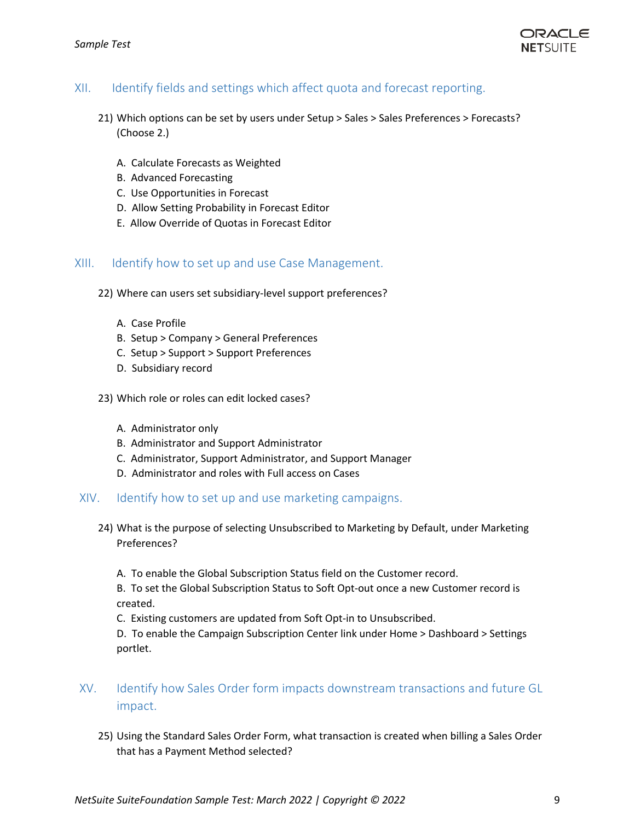

#### <span id="page-8-0"></span>XII. Identify fields and settings which affect quota and forecast reporting.

- 21) Which options can be set by users under Setup > Sales > Sales Preferences > Forecasts? (Choose 2.)
	- A. Calculate Forecasts as Weighted
	- B. Advanced Forecasting
	- C. Use Opportunities in Forecast
	- D. Allow Setting Probability in Forecast Editor
	- E. Allow Override of Quotas in Forecast Editor

#### <span id="page-8-1"></span>XIII. Identify how to set up and use Case Management.

- 22) Where can users set subsidiary-level support preferences?
	- A. Case Profile
	- B. Setup > Company > General Preferences
	- C. Setup > Support > Support Preferences
	- D. Subsidiary record
- 23) Which role or roles can edit locked cases?
	- A. Administrator only
	- B. Administrator and Support Administrator
	- C. Administrator, Support Administrator, and Support Manager
	- D. Administrator and roles with Full access on Cases

#### <span id="page-8-2"></span>XIV. Identify how to set up and use marketing campaigns.

- 24) What is the purpose of selecting Unsubscribed to Marketing by Default, under Marketing Preferences?
	- A. To enable the Global Subscription Status field on the Customer record.

B. To set the Global Subscription Status to Soft Opt-out once a new Customer record is created.

C. Existing customers are updated from Soft Opt-in to Unsubscribed.

D. To enable the Campaign Subscription Center link under Home > Dashboard > Settings portlet.

- <span id="page-8-3"></span>XV. Identify how Sales Order form impacts downstream transactions and future GL impact.
	- 25) Using the Standard Sales Order Form, what transaction is created when billing a Sales Order that has a Payment Method selected?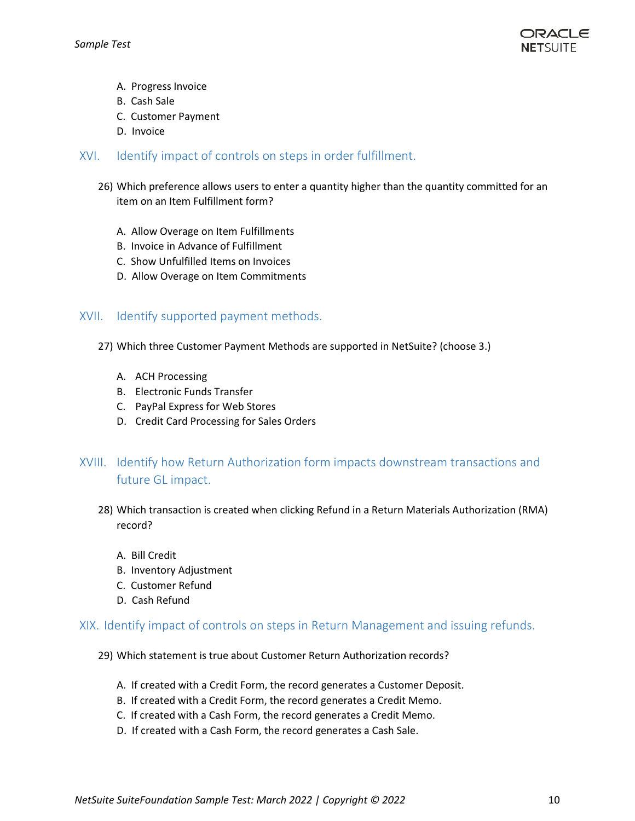

- A. Progress Invoice
- B. Cash Sale
- C. Customer Payment
- D. Invoice
- <span id="page-9-0"></span>XVI. Identify impact of controls on steps in order fulfillment.
	- 26) Which preference allows users to enter a quantity higher than the quantity committed for an item on an Item Fulfillment form?
		- A. Allow Overage on Item Fulfillments
		- B. Invoice in Advance of Fulfillment
		- C. Show Unfulfilled Items on Invoices
		- D. Allow Overage on Item Commitments

#### <span id="page-9-1"></span>XVII. Identify supported payment methods.

- 27) Which three Customer Payment Methods are supported in NetSuite? (choose 3.)
	- A. ACH Processing
	- B. Electronic Funds Transfer
	- C. PayPal Express for Web Stores
	- D. Credit Card Processing for Sales Orders

## <span id="page-9-2"></span>XVIII. Identify how Return Authorization form impacts downstream transactions and future GL impact.

- 28) Which transaction is created when clicking Refund in a Return Materials Authorization (RMA) record?
	- A. Bill Credit
	- B. Inventory Adjustment
	- C. Customer Refund
	- D. Cash Refund

#### <span id="page-9-3"></span>XIX. Identify impact of controls on steps in Return Management and issuing refunds.

- 29) Which statement is true about Customer Return Authorization records?
	- A. If created with a Credit Form, the record generates a Customer Deposit.
	- B. If created with a Credit Form, the record generates a Credit Memo.
	- C. If created with a Cash Form, the record generates a Credit Memo.
	- D. If created with a Cash Form, the record generates a Cash Sale.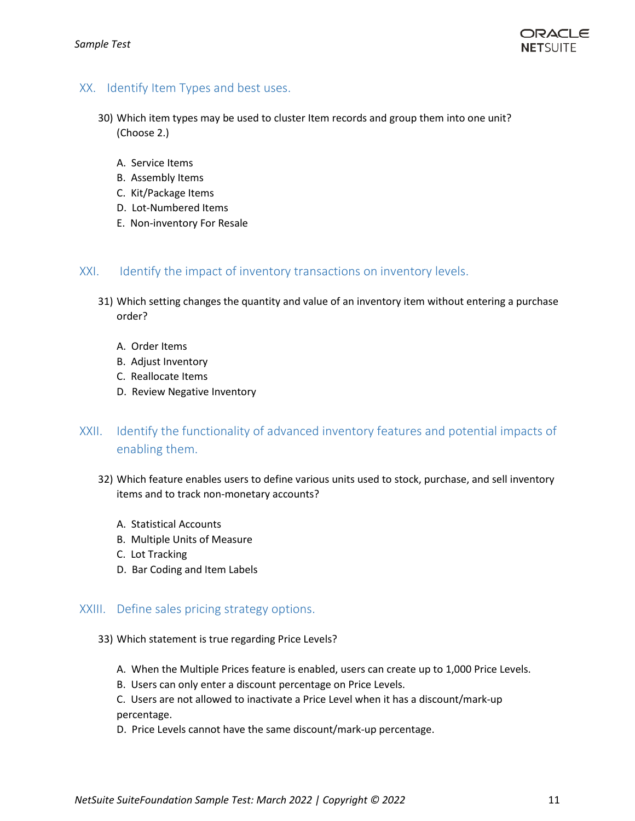

#### <span id="page-10-0"></span>XX. Identify Item Types and best uses.

- 30) Which item types may be used to cluster Item records and group them into one unit? (Choose 2.)
	- A. Service Items
	- B. Assembly Items
	- C. Kit/Package Items
	- D. Lot-Numbered Items
	- E. Non-inventory For Resale

#### <span id="page-10-1"></span>XXI. Identify the impact of inventory transactions on inventory levels.

- 31) Which setting changes the quantity and value of an inventory item without entering a purchase order?
	- A. Order Items
	- B. Adjust Inventory
	- C. Reallocate Items
	- D. Review Negative Inventory
- <span id="page-10-2"></span>XXII. Identify the functionality of advanced inventory features and potential impacts of enabling them.
	- 32) Which feature enables users to define various units used to stock, purchase, and sell inventory items and to track non-monetary accounts?
		- A. Statistical Accounts
		- B. Multiple Units of Measure
		- C. Lot Tracking
		- D. Bar Coding and Item Labels

#### <span id="page-10-3"></span>XXIII. Define sales pricing strategy options.

- 33) Which statement is true regarding Price Levels?
	- A. When the Multiple Prices feature is enabled, users can create up to 1,000 Price Levels.
	- B. Users can only enter a discount percentage on Price Levels.
	- C. Users are not allowed to inactivate a Price Level when it has a discount/mark-up percentage.
	- D. Price Levels cannot have the same discount/mark-up percentage.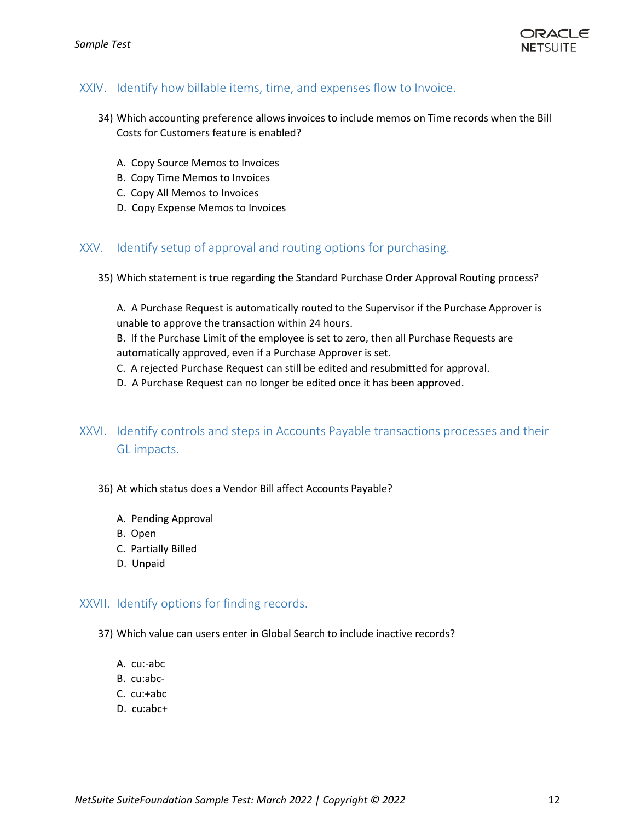

#### <span id="page-11-0"></span>XXIV. Identify how billable items, time, and expenses flow to Invoice.

- 34) Which accounting preference allows invoices to include memos on Time records when the Bill Costs for Customers feature is enabled?
	- A. Copy Source Memos to Invoices
	- B. Copy Time Memos to Invoices
	- C. Copy All Memos to Invoices
	- D. Copy Expense Memos to Invoices

#### <span id="page-11-1"></span>XXV. Identify setup of approval and routing options for purchasing.

35) Which statement is true regarding the Standard Purchase Order Approval Routing process?

A. A Purchase Request is automatically routed to the Supervisor if the Purchase Approver is unable to approve the transaction within 24 hours.

B. If the Purchase Limit of the employee is set to zero, then all Purchase Requests are automatically approved, even if a Purchase Approver is set.

- C. A rejected Purchase Request can still be edited and resubmitted for approval.
- D. A Purchase Request can no longer be edited once it has been approved.
- <span id="page-11-2"></span>XXVI. Identify controls and steps in Accounts Payable transactions processes and their GL impacts.

#### 36) At which status does a Vendor Bill affect Accounts Payable?

- A. Pending Approval
- B. Open
- C. Partially Billed
- D. Unpaid

#### <span id="page-11-3"></span>XXVII. Identify options for finding records.

- 37) Which value can users enter in Global Search to include inactive records?
	- A. cu:-abc
	- B. cu:abc-
	- C. cu:+abc
	- D. cu:abc+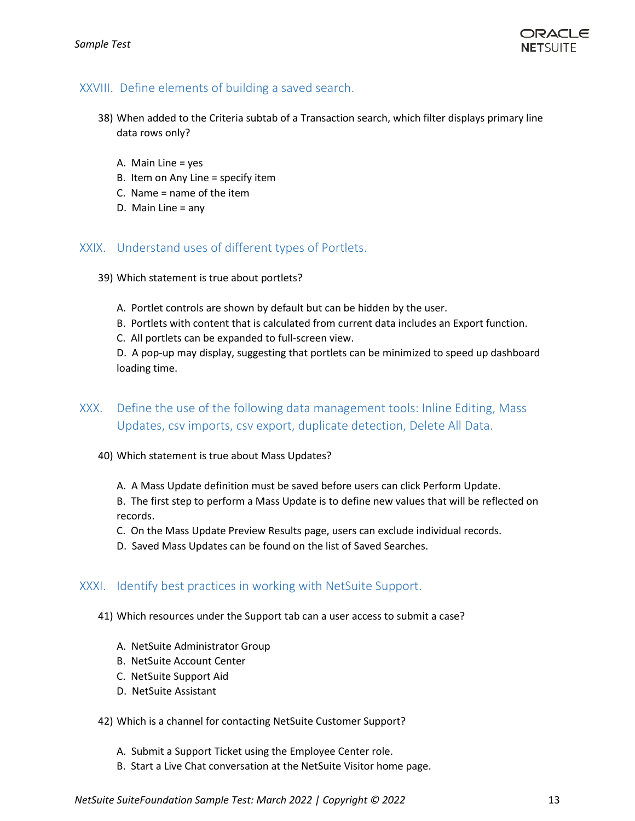

#### XXVIII. Define elements of building a saved search.

- <span id="page-12-0"></span>38) When added to the Criteria subtab of a Transaction search, which filter displays primary line data rows only?
	- A. Main Line = yes
	- B. Item on Any Line = specify item
	- C. Name = name of the item
	- D. Main Line = any

#### <span id="page-12-1"></span>XXIX. Understand uses of different types of Portlets.

- 39) Which statement is true about portlets?
	- A. Portlet controls are shown by default but can be hidden by the user.
	- B. Portlets with content that is calculated from current data includes an Export function.
	- C. All portlets can be expanded to full-screen view.

D. A pop-up may display, suggesting that portlets can be minimized to speed up dashboard loading time.

- <span id="page-12-2"></span>XXX. Define the use of the following data management tools: Inline Editing, Mass Updates, csv imports, csv export, duplicate detection, Delete All Data.
	- 40) Which statement is true about Mass Updates?
		- A. A Mass Update definition must be saved before users can click Perform Update.

B. The first step to perform a Mass Update is to define new values that will be reflected on records.

- C. On the Mass Update Preview Results page, users can exclude individual records.
- D. Saved Mass Updates can be found on the list of Saved Searches.

#### <span id="page-12-3"></span>XXXI. Identify best practices in working with NetSuite Support.

- 41) Which resources under the Support tab can a user access to submit a case?
	- A. NetSuite Administrator Group
	- B. NetSuite Account Center
	- C. NetSuite Support Aid
	- D. NetSuite Assistant

#### 42) Which is a channel for contacting NetSuite Customer Support?

- A. Submit a Support Ticket using the Employee Center role.
- B. Start a Live Chat conversation at the NetSuite Visitor home page.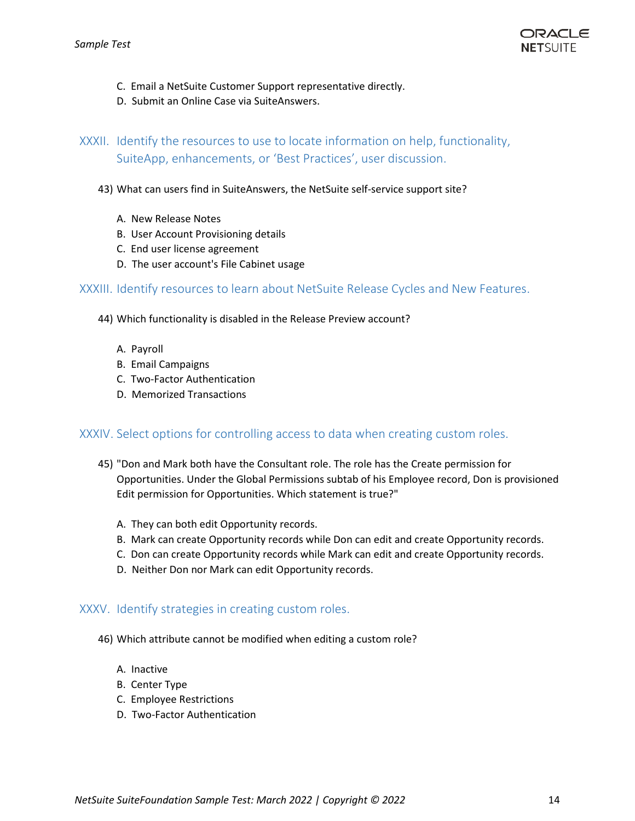- C. Email a NetSuite Customer Support representative directly.
- D. Submit an Online Case via SuiteAnswers.

<span id="page-13-0"></span>XXXII. Identify the resources to use to locate information on help, functionality, SuiteApp, enhancements, or 'Best Practices', user discussion.

- 43) What can users find in SuiteAnswers, the NetSuite self-service support site?
	- A. New Release Notes
	- B. User Account Provisioning details
	- C. End user license agreement
	- D. The user account's File Cabinet usage

<span id="page-13-1"></span>XXXIII. Identify resources to learn about NetSuite Release Cycles and New Features.

- 44) Which functionality is disabled in the Release Preview account?
	- A. Payroll
	- B. Email Campaigns
	- C. Two-Factor Authentication
	- D. Memorized Transactions

#### <span id="page-13-2"></span>XXXIV. Select options for controlling access to data when creating custom roles.

- 45) "Don and Mark both have the Consultant role. The role has the Create permission for Opportunities. Under the Global Permissions subtab of his Employee record, Don is provisioned Edit permission for Opportunities. Which statement is true?"
	- A. They can both edit Opportunity records.
	- B. Mark can create Opportunity records while Don can edit and create Opportunity records.
	- C. Don can create Opportunity records while Mark can edit and create Opportunity records.
	- D. Neither Don nor Mark can edit Opportunity records.

#### <span id="page-13-3"></span>XXXV. Identify strategies in creating custom roles.

- 46) Which attribute cannot be modified when editing a custom role?
	- A. Inactive
	- B. Center Type
	- C. Employee Restrictions
	- D. Two-Factor Authentication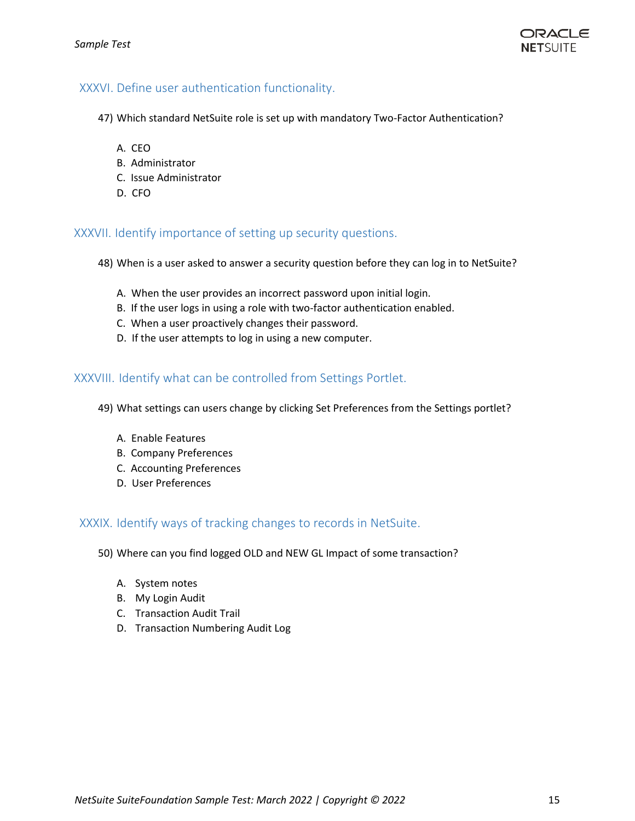#### <span id="page-14-0"></span>XXXVI. Define user authentication functionality.

- 47) Which standard NetSuite role is set up with mandatory Two-Factor Authentication?
	- A. CEO
	- B. Administrator
	- C. Issue Administrator
	- D. CFO

#### XXXVII. Identify importance of setting up security questions.

- <span id="page-14-1"></span>48) When is a user asked to answer a security question before they can log in to NetSuite?
	- A. When the user provides an incorrect password upon initial login.
	- B. If the user logs in using a role with two-factor authentication enabled.
	- C. When a user proactively changes their password.
	- D. If the user attempts to log in using a new computer.

#### <span id="page-14-2"></span>XXXVIII. Identify what can be controlled from Settings Portlet.

- 49) What settings can users change by clicking Set Preferences from the Settings portlet?
	- A. Enable Features
	- B. Company Preferences
	- C. Accounting Preferences
	- D. User Preferences

#### <span id="page-14-3"></span>XXXIX. Identify ways of tracking changes to records in NetSuite.

- 50) Where can you find logged OLD and NEW GL Impact of some transaction?
	- A. System notes
	- B. My Login Audit
	- C. Transaction Audit Trail
	- D. Transaction Numbering Audit Log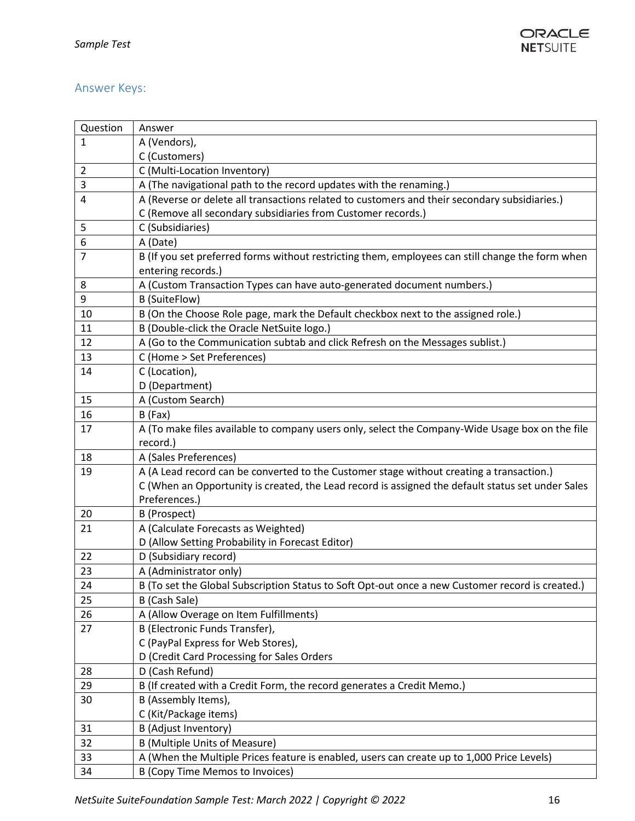## <span id="page-15-0"></span>Answer Keys:

| Question | Answer                                                                                            |
|----------|---------------------------------------------------------------------------------------------------|
| 1        | A (Vendors),                                                                                      |
|          | C (Customers)                                                                                     |
| 2        | C (Multi-Location Inventory)                                                                      |
| 3        | A (The navigational path to the record updates with the renaming.)                                |
| 4        | A (Reverse or delete all transactions related to customers and their secondary subsidiaries.)     |
|          | C (Remove all secondary subsidiaries from Customer records.)                                      |
| 5        | C (Subsidiaries)                                                                                  |
| 6        | A (Date)                                                                                          |
| 7        | B (If you set preferred forms without restricting them, employees can still change the form when  |
|          | entering records.)                                                                                |
| 8        | A (Custom Transaction Types can have auto-generated document numbers.)                            |
| 9        | <b>B</b> (SuiteFlow)                                                                              |
| 10       | B (On the Choose Role page, mark the Default checkbox next to the assigned role.)                 |
| 11       | B (Double-click the Oracle NetSuite logo.)                                                        |
| 12       | A (Go to the Communication subtab and click Refresh on the Messages sublist.)                     |
| 13       | C (Home > Set Preferences)                                                                        |
| 14       | C (Location),                                                                                     |
|          | D (Department)                                                                                    |
| 15       | A (Custom Search)                                                                                 |
| 16       | B (Fax)                                                                                           |
| 17       | A (To make files available to company users only, select the Company-Wide Usage box on the file   |
|          | record.)                                                                                          |
| 18       | A (Sales Preferences)                                                                             |
| 19       | A (A Lead record can be converted to the Customer stage without creating a transaction.)          |
|          | C (When an Opportunity is created, the Lead record is assigned the default status set under Sales |
|          | Preferences.)                                                                                     |
| 20       | B (Prospect)                                                                                      |
| 21       | A (Calculate Forecasts as Weighted)                                                               |
|          | D (Allow Setting Probability in Forecast Editor)                                                  |
| 22       | D (Subsidiary record)                                                                             |
| 23       | A (Administrator only)                                                                            |
| 24       | B (To set the Global Subscription Status to Soft Opt-out once a new Customer record is created.)  |
| 25       | B (Cash Sale)                                                                                     |
| 26       | A (Allow Overage on Item Fulfillments)                                                            |
| 27       | B (Electronic Funds Transfer),                                                                    |
|          | C (PayPal Express for Web Stores),                                                                |
|          | D (Credit Card Processing for Sales Orders                                                        |
| 28       | D (Cash Refund)                                                                                   |
| 29       | B (If created with a Credit Form, the record generates a Credit Memo.)                            |
| 30       | B (Assembly Items),                                                                               |
|          | C (Kit/Package items)                                                                             |
| 31       | B (Adjust Inventory)                                                                              |
| 32       | <b>B (Multiple Units of Measure)</b>                                                              |
| 33       | A (When the Multiple Prices feature is enabled, users can create up to 1,000 Price Levels)        |
| 34       | <b>B (Copy Time Memos to Invoices)</b>                                                            |